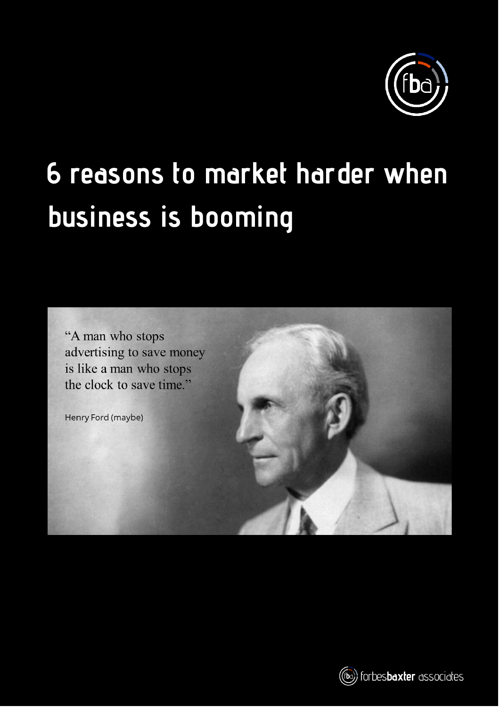

# **6 reasons to market harder when business is booming**

"A man who stops advertising to save money is like a man who stops the clock to save time."

Henry Ford (maybe)



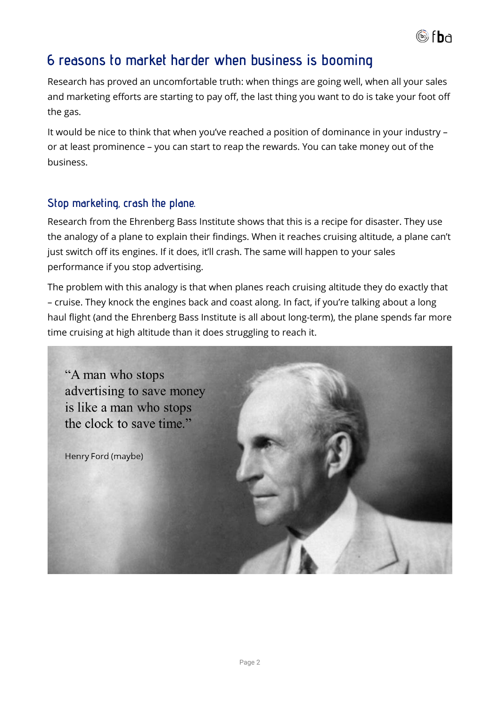

# **6 reasons to market harder when business is booming**

Research has proved an uncomfortable truth: when things are going well, when all your sales and marketing efforts are starting to pay off, the last thing you want to do is take your foot off the gas.

It would be nice to think that when you've reached a position of dominance in your industry – or at least prominence – you can start to reap the rewards. You can take money out of the business.

#### **Stop marketing, crash the plane.**

Research from the Ehrenberg Bass Institute shows that this is a recipe for disaster. They use the analogy of a plane to explain their findings. When it reaches cruising altitude, a plane can't just switch off its engines. If it does, it'll crash. The same will happen to your sales performance if you stop advertising.

The problem with this analogy is that when planes reach cruising altitude they do exactly that – cruise. They knock the engines back and coast along. In fact, if you're talking about a long haul flight (and the Ehrenberg Bass Institute is all about long-term), the plane spends far more time cruising at high altitude than it does struggling to reach it.

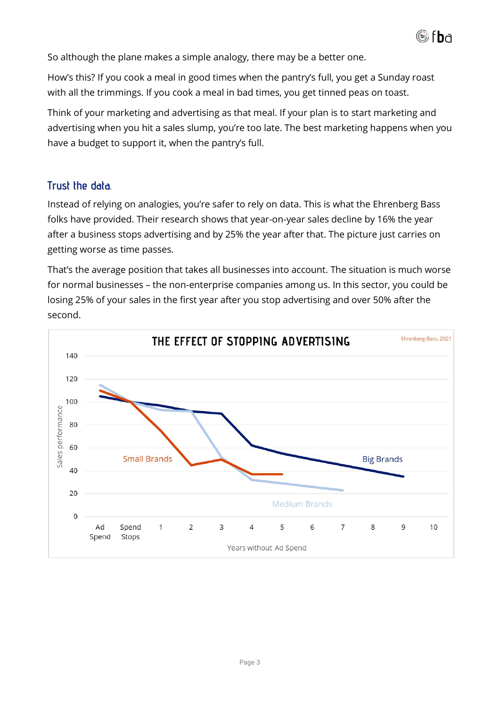

So although the plane makes a simple analogy, there may be a better one.

How's this? If you cook a meal in good times when the pantry's full, you get a Sunday roast with all the trimmings. If you cook a meal in bad times, you get tinned peas on toast.

Think of your marketing and advertising as that meal. If your plan is to start marketing and advertising when you hit a sales slump, you're too late. The best marketing happens when you have a budget to support it, when the pantry's full.

# **Trust the data.**

Instead of relying on analogies, you're safer to rely on data. This is what the Ehrenberg Bass folks have provided. Their research shows that year-on-year sales decline by 16% the year after a business stops advertising and by 25% the year after that. The picture just carries on getting worse as time passes.

That's the average position that takes all businesses into account. The situation is much worse for normal businesses – the non-enterprise companies among us. In this sector, you could be losing 25% of your sales in the first year after you stop advertising and over 50% after the second.

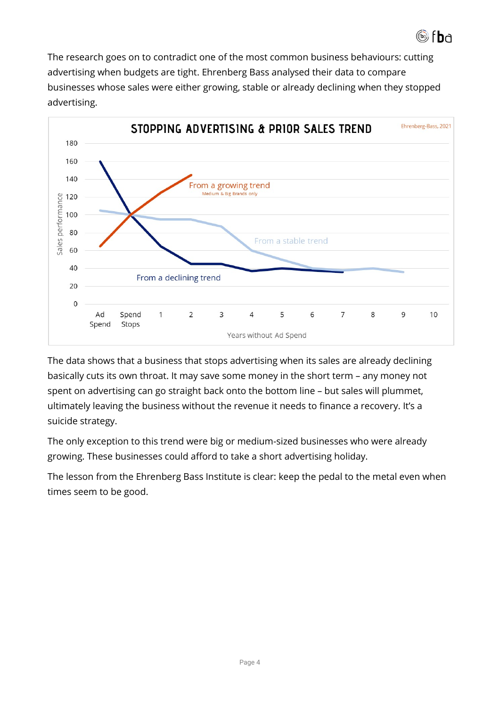

The research goes on to contradict one of the most common business behaviours: cutting advertising when budgets are tight. Ehrenberg Bass analysed their data to compare businesses whose sales were either growing, stable or already declining when they stopped advertising.



The data shows that a business that stops advertising when its sales are already declining basically cuts its own throat. It may save some money in the short term – any money not spent on advertising can go straight back onto the bottom line – but sales will plummet, ultimately leaving the business without the revenue it needs to finance a recovery. It's a suicide strategy.

The only exception to this trend were big or medium-sized businesses who were already growing. These businesses could afford to take a short advertising holiday.

The lesson from the Ehrenberg Bass Institute is clear: keep the pedal to the metal even when times seem to be good.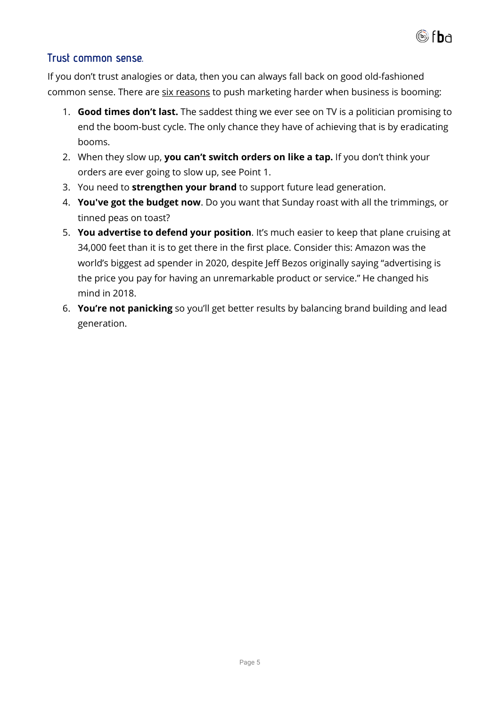

# **Trust common sense.**

If you don't trust analogies or data, then you can always fall back on good old-fashioned common sense. There are six reasons to push marketing harder when business is booming:

- 1. **Good times don't last.** The saddest thing we ever see on TV is a politician promising to end the boom-bust cycle. The only chance they have of achieving that is by eradicating booms.
- 2. When they slow up, **you can't switch orders on like a tap.** If you don't think your orders are ever going to slow up, see Point 1.
- 3. You need to **strengthen your brand** to support future lead generation.
- 4. **You've got the budget now**. Do you want that Sunday roast with all the trimmings, or tinned peas on toast?
- 5. **You advertise to defend your position**. It's much easier to keep that plane cruising at 34,000 feet than it is to get there in the first place. Consider this: Amazon was the world's biggest ad spender in 2020, despite Jeff Bezos originally saying "advertising is the price you pay for having an unremarkable product or service." He changed his mind in 2018.
- 6. **You're not panicking** so you'll get better results by balancing brand building and lead generation.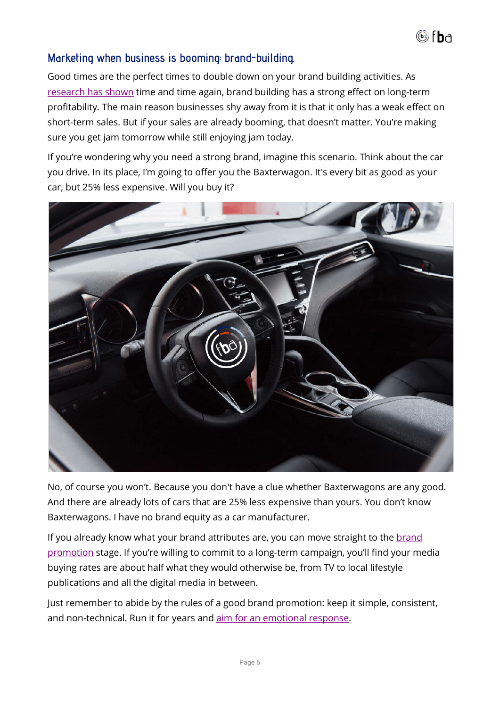

#### **Marketing when business is booming: brand-building.**

Good times are the perfect times to double down on your brand building activities. As [research has shown](https://www.forbesbaxter.co.uk/2020/12/the-long-and-the-short-of-it-lessons-for-smes-strategy/) time and time again, brand building has a strong effect on long-term profitability. The main reason businesses shy away from it is that it only has a weak effect on short-term sales. But if your sales are already booming, that doesn't matter. You're making sure you get jam tomorrow while still enjoying jam today.

If you're wondering why you need a strong brand, imagine this scenario. Think about the car you drive. In its place, I'm going to offer you the Baxterwagon. It's every bit as good as your car, but 25% less expensive. Will you buy it?



No, of course you won't. Because you don't have a clue whether Baxterwagons are any good. And there are already lots of cars that are 25% less expensive than yours. You don't know Baxterwagons. I have no brand equity as a car manufacturer.

If you already know what your brand attributes are, you can move straight to the [brand](https://www.forbesbaxter.co.uk/brand-marketing/#brandpromotion)  [promotion](https://www.forbesbaxter.co.uk/brand-marketing/#brandpromotion) stage. If you're willing to commit to a long-term campaign, you'll find your media buying rates are about half what they would otherwise be, from TV to local lifestyle publications and all the digital media in between.

Just remember to abide by the rules of a good brand promotion: keep it simple, consistent, and non-technical. Run it for years and [aim for an emotional response.](https://www.forbesbaxter.co.uk/2020/12/the-long-and-the-short-of-it-lessons-for-smes-strategy/#emotionalresponse)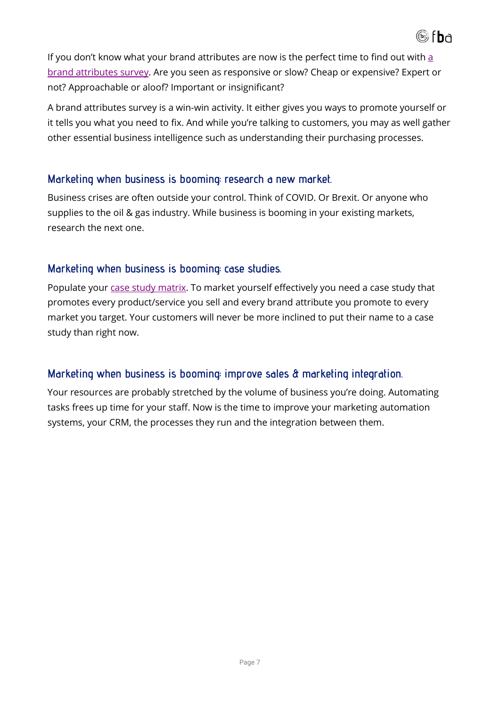

If you don't know what your brand attributes are now is the perfect time to find out with  $a$ [brand attributes survey.](https://www.forbesbaxter.co.uk/market-research/#brandattributessurvey) Are you seen as responsive or slow? Cheap or expensive? Expert or not? Approachable or aloof? Important or insignificant?

A brand attributes survey is a win-win activity. It either gives you ways to promote yourself or it tells you what you need to fix. And while you're talking to customers, you may as well gather other essential business intelligence such as understanding their purchasing processes.

#### **Marketing when business is booming: research a new market.**

Business crises are often outside your control. Think of COVID. Or Brexit. Or anyone who supplies to the oil & gas industry. While business is booming in your existing markets, research the next one.

#### **Marketing when business is booming: case studies.**

Populate your [case study matrix.](https://www.forbesbaxter.co.uk/case-study-matrix-tools/) To market yourself effectively you need a case study that promotes every product/service you sell and every brand attribute you promote to every market you target. Your customers will never be more inclined to put their name to a case study than right now.

# **Marketing when business is booming: improve sales & marketing integration.**

Your resources are probably stretched by the volume of business you're doing. Automating tasks frees up time for your staff. Now is the time to improve your marketing automation systems, your CRM, the processes they run and the integration between them.